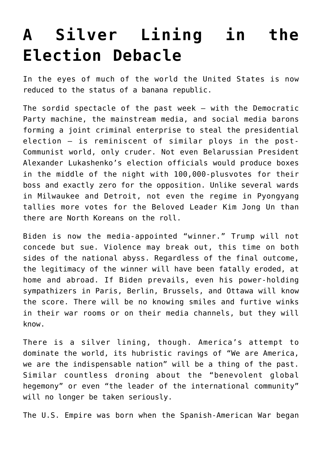## **[A Silver Lining in the](https://intellectualtakeout.org/2020/11/a-silver-lining-in-the-election-debacle/) [Election Debacle](https://intellectualtakeout.org/2020/11/a-silver-lining-in-the-election-debacle/)**

In the eyes of much of the world the United States is now reduced to the status of a banana republic.

The sordid spectacle of the past week – with the Democratic Party machine, the mainstream media, and social media barons forming a joint criminal enterprise to steal the presidential election – is reminiscent of similar ploys in the post-Communist world, only cruder. Not even Belarussian President Alexander Lukashenko's election officials would produce boxes in the middle of the night with 100,000-plusvotes for their boss and exactly zero for the opposition. Unlike several wards in Milwaukee and Detroit, not even the regime in Pyongyang tallies more votes for the Beloved Leader Kim Jong Un than there are North Koreans on the roll.

Biden is now the media-appointed "winner." Trump will not concede but sue. Violence may break out, this time on both sides of the national abyss. Regardless of the final outcome, the legitimacy of the winner will have been fatally eroded, at home and abroad. If Biden prevails, even his power-holding sympathizers in Paris, Berlin, Brussels, and Ottawa will know the score. There will be no knowing smiles and furtive winks in their war rooms or on their media channels, but they will know.

There is a silver lining, though. America's attempt to dominate the world, its hubristic ravings of "We are America, we are the indispensable nation" will be a thing of the past. Similar countless droning about the "benevolent global hegemony" or even "the leader of the international community" will no longer be taken seriously.

The U.S. Empire was born when the Spanish-American War began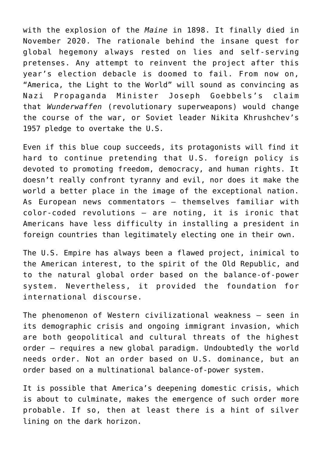with the explosion of the *Maine* in 1898. It finally died in November 2020. The rationale behind the insane quest for global hegemony always rested on lies and self-serving pretenses. Any attempt to reinvent the project after this year's election debacle is doomed to fail. From now on, "America, the Light to the World" will sound as convincing as Nazi Propaganda Minister Joseph Goebbels's claim that *Wunderwaffen* (revolutionary superweapons) would change the course of the war, or Soviet leader Nikita Khrushchev's 1957 pledge to overtake the U.S.

Even if this blue coup succeeds, its protagonists will find it hard to continue pretending that U.S. foreign policy is devoted to promoting freedom, democracy, and human rights. It doesn't really confront tyranny and evil, nor does it make the world a better place in the image of the exceptional nation. As European news commentators – themselves familiar with color-coded revolutions – are noting, it is ironic that Americans have less difficulty in installing a president in foreign countries than legitimately electing one in their own.

The U.S. Empire has always been a flawed project, inimical to the American interest, to the spirit of the Old Republic, and to the natural global order based on the balance-of-power system. Nevertheless, it provided the foundation for international discourse.

The phenomenon of Western civilizational weakness – seen in its demographic crisis and ongoing immigrant invasion, which are both geopolitical and cultural threats of the highest order – requires a new global paradigm. Undoubtedly the world needs order. Not an order based on U.S. dominance, but an order based on a multinational balance-of-power system.

It is possible that America's deepening domestic crisis, which is about to culminate, makes the emergence of such order more probable. If so, then at least there is a hint of silver lining on the dark horizon.